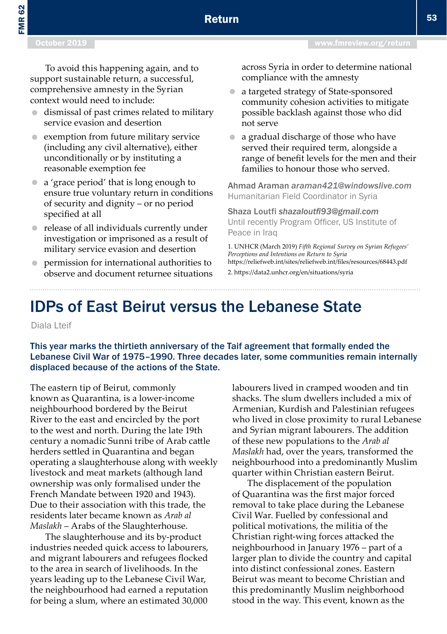## IDPs of East Beirut versus the Lebanese State

Diala Lteif

This year marks the thirtieth anniversary of the Taif agreement that formally ended the Lebanese Civil War of 1975–1990. Three decades later, some communities remain internally displaced because of the actions of the State.

The eastern tip of Beirut, commonly known as Quarantina, is a lower-income neighbourhood bordered by the Beirut River to the east and encircled by the port to the west and north. During the late 19th century a nomadic Sunni tribe of Arab cattle herders settled in Quarantina and began operating a slaughterhouse along with weekly livestock and meat markets (although land ownership was only formalised under the French Mandate between 1920 and 1943). Due to their association with this trade, the residents later became known as *Arab al Maslakh* – Arabs of the Slaughterhouse.

The slaughterhouse and its by-product industries needed quick access to labourers, and migrant labourers and refugees flocked to the area in search of livelihoods. In the years leading up to the Lebanese Civil War, the neighbourhood had earned a reputation for being a slum, where an estimated 30,000

labourers lived in cramped wooden and tin shacks. The slum dwellers included a mix of Armenian, Kurdish and Palestinian refugees who lived in close proximity to rural Lebanese and Syrian migrant labourers. The addition of these new populations to the *Arab al Maslakh* had, over the years, transformed the neighbourhood into a predominantly Muslim quarter within Christian eastern Beirut.

The displacement of the population of Quarantina was the first major forced removal to take place during the Lebanese Civil War. Fuelled by confessional and political motivations, the militia of the Christian right-wing forces attacked the neighbourhood in January 1976 – part of a larger plan to divide the country and capital into distinct confessional zones. Eastern Beirut was meant to become Christian and this predominantly Muslim neighborhood stood in the way. This event, known as the